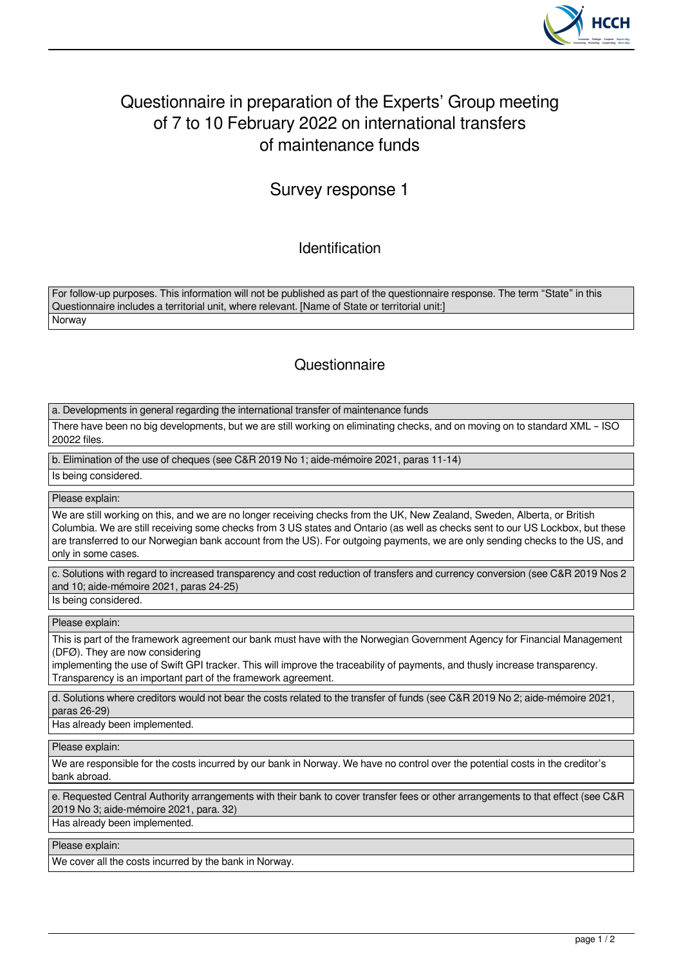

## Questionnaire in preparation of the Experts' Group meeting of 7 to 10 February 2022 on international transfers of maintenance funds

## Survey response 1

Identification

For follow-up purposes. This information will not be published as part of the questionnaire response. The term "State" in this Questionnaire includes a territorial unit, where relevant. [Name of State or territorial unit:] Norway

## **Questionnaire**

a. Developments in general regarding the international transfer of maintenance funds

There have been no big developments, but we are still working on eliminating checks, and on moving on to standard XML – ISO 20022 files.

b. Elimination of the use of cheques (see C&R 2019 No 1; aide-mémoire 2021, paras 11-14)

Is being considered.

Please explain:

We are still working on this, and we are no longer receiving checks from the UK, New Zealand, Sweden, Alberta, or British Columbia. We are still receiving some checks from 3 US states and Ontario (as well as checks sent to our US Lockbox, but these are transferred to our Norwegian bank account from the US). For outgoing payments, we are only sending checks to the US, and only in some cases.

c. Solutions with regard to increased transparency and cost reduction of transfers and currency conversion (see C&R 2019 Nos 2 and 10; aide-mémoire 2021, paras 24-25)

Is being considered.

Please explain:

This is part of the framework agreement our bank must have with the Norwegian Government Agency for Financial Management (DFØ). They are now considering

implementing the use of Swift GPI tracker. This will improve the traceability of payments, and thusly increase transparency. Transparency is an important part of the framework agreement.

d. Solutions where creditors would not bear the costs related to the transfer of funds (see C&R 2019 No 2; aide-mémoire 2021, paras 26-29)

Has already been implemented.

Please explain:

We are responsible for the costs incurred by our bank in Norway. We have no control over the potential costs in the creditor's bank abroad.

e. Requested Central Authority arrangements with their bank to cover transfer fees or other arrangements to that effect (see C&R 2019 No 3; aide-mémoire 2021, para. 32)

Has already been implemented.

Please explain:

We cover all the costs incurred by the bank in Norway.